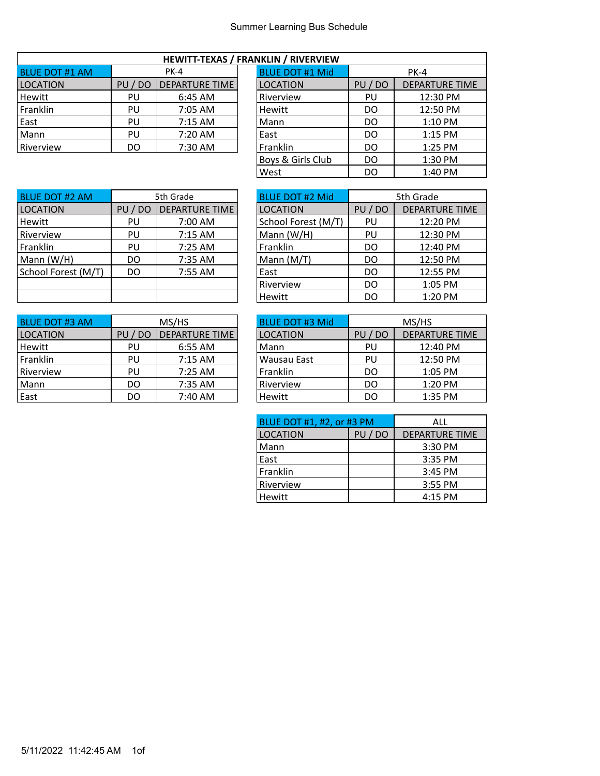|--|

| <b>BLUE DOT #1 AM</b> | <b>PK-4</b> |                       | <b>BLUE DOT #1 Mid</b> |            | <b>PK-4</b>           |
|-----------------------|-------------|-----------------------|------------------------|------------|-----------------------|
| <b>LOCATION</b>       | DO<br>PU    | <b>DEPARTURE TIME</b> | <b>LOCATION</b>        | / DO<br>PU | <b>DEPARTURE TIME</b> |
| Hewitt                | PU          | 6:45 AM               | Riverview              | PU         | 12:30 PM              |
| Franklin              | PU          | 7:05 AM               | Hewitt                 | DO         | 12:50 PM              |
| East                  | PU          | $7:15$ AM             | Mann                   | DO         | $1:10$ PM             |
| Mann                  | PU          | 7:20 AM               | East                   | DO         | $1:15$ PM             |
| Riverview             | DO          | 7:30 AM               | Franklin               | DO         | $1:25$ PM             |

 $\overline{\phantom{a}}$ 

| NNLIIN / NIVERVIEW     |       |                       |  |  |  |  |  |  |  |  |
|------------------------|-------|-----------------------|--|--|--|--|--|--|--|--|
| <b>BLUE DOT #1 Mid</b> |       | PK-4                  |  |  |  |  |  |  |  |  |
| <b>LOCATION</b>        | PU/DO | <b>DEPARTURE TIME</b> |  |  |  |  |  |  |  |  |
| Riverview              | PU    | 12:30 PM              |  |  |  |  |  |  |  |  |
| Hewitt                 | DO    | 12:50 PM              |  |  |  |  |  |  |  |  |
| Mann                   | DO    | 1:10 PM               |  |  |  |  |  |  |  |  |
| East                   | DO    | 1:15 PM               |  |  |  |  |  |  |  |  |
| Franklin               | DO    | 1:25 PM               |  |  |  |  |  |  |  |  |
| Boys & Girls Club      | DO    | 1:30 PM               |  |  |  |  |  |  |  |  |
| West                   | DO    | 1:40 PM               |  |  |  |  |  |  |  |  |
|                        |       |                       |  |  |  |  |  |  |  |  |

٦

| <b>BLUE DOT #2 AM</b> | 5th Grade |                       | <b>BLUE DOT #2 Mid</b> |       | 5th Grade           |
|-----------------------|-----------|-----------------------|------------------------|-------|---------------------|
| <b>LOCATION</b>       | PU / DO   | <b>DEPARTURE TIME</b> | <b>LOCATION</b>        | PU/DO | <b>DEPARTURE TI</b> |
| Hewitt                | PU        | 7:00 AM               | School Forest (M/T)    | PU    | 12:20 PM            |
| Riverview             | PU        | 7:15 AM               | Mann $(W/H)$           | PU    | 12:30 PM            |
| Franklin              | PU        | 7:25 AM               | Franklin               | DO    | 12:40 PM            |
| Mann (W/H)            | DO        | 7:35 AM               | Mann $(M/T)$           | DO    | 12:50 PM            |
| School Forest (M/T)   | DO.       | 7:55 AM               | East                   | DO    | 12:55 PM            |
|                       |           |                       | Riverview              | DO    | 1:05 PM             |
|                       |           |                       | Hewitt                 | DO    | 1:20 PM             |

|                       |           |                       | 11 C VV I L L          | ◡       | <b>1.40 I IVI</b>     |
|-----------------------|-----------|-----------------------|------------------------|---------|-----------------------|
|                       |           |                       |                        |         |                       |
| <b>BLUE DOT #3 AM</b> |           | MS/HS                 | <b>BLUE DOT #3 Mid</b> |         | MS/HS                 |
| <b>LOCATION</b>       | DO)<br>PU | <b>DEPARTURE TIME</b> | <b>LOCATION</b>        | PU / DO | <b>DEPARTURE TIME</b> |
| Hewitt                | PU        | 6:55 AM               | Mann                   | PU      | 12:40 PM              |
| Franklin              | PU        | $7:15$ AM             | Wausau East            | PU      | 12:50 PM              |
| Riverview             | PU        | 7:25 AM               | Franklin               | DO      | 1:05 PM               |
| Mann                  | DO        | 7:35 AM               | Riverview              | DO      | 1:20 PM               |
| $E \cap c +$          | nn.       | 7.10.11               | L                      | nn.     | $1.2E$ DM             |

| <b>BLUE DOT #2 AM</b> | 5th Grade |                       | <b>BLUE DOT #2 Mid</b> | 5th Grade |                       |
|-----------------------|-----------|-----------------------|------------------------|-----------|-----------------------|
| <b>LOCATION</b>       | PU/DO     | <b>DEPARTURE TIME</b> | <b>LOCATION</b>        | PU/DO     | <b>DEPARTURE TIME</b> |
| Hewitt                | PU        | 7:00 AM               | School Forest (M/T)    | PU        | 12:20 PM              |
| Riverview             | PU        | 7:15 AM               | Mann $(W/H)$           | PU        | 12:30 PM              |
| Franklin              | PU        | 7:25 AM               | Franklin               | DO        | 12:40 PM              |
| Mann (W/H)            | DO        | 7:35 AM               | Mann (M/T)             | DO        | 12:50 PM              |
| School Forest (M/T)   | DO.       | 7:55 AM               | East                   | DO        | 12:55 PM              |
|                       |           |                       | Riverview              | DO        | 1:05 PM               |
|                       |           |                       | Hewitt                 | DO        | 1:20 PM               |
|                       |           |                       |                        |           |                       |

| <b>BLUE DOT #3 AM</b> | MS/HS   |                |  | <b>BLUE DOT #3 Mid</b> |       | MS/HS                 |
|-----------------------|---------|----------------|--|------------------------|-------|-----------------------|
| LOCATION              | PU / DO | DEPARTURE TIME |  | LOCATION               | PU/DO | <b>DEPARTURE TIME</b> |
| Hewitt                | PU      | 6:55 AM        |  | Mann                   | PU    | 12:40 PM              |
| Franklin              | PU      | 7:15 AM        |  | Wausau East            | PU    | 12:50 PM              |
| Riverview             | PU      | $7:25$ AM      |  | <b>Franklin</b>        | DO    | $1:05$ PM             |
| Mann                  | DO      | 7:35 AM        |  | Riverview              | DO    | $1:20$ PM             |
| East                  | DO      | 7:40 AM        |  | Hewitt                 | DO    | 1:35 PM               |
|                       |         |                |  |                        |       |                       |

| BLUE DOT #1, #2, or #3 PM | ALL     |                       |
|---------------------------|---------|-----------------------|
| <b>LOCATION</b>           | PU / DO | <b>DEPARTURE TIME</b> |
| Mann                      |         | 3:30 PM               |
| East                      |         | 3:35 PM               |
| Franklin                  |         | 3:45 PM               |
| Riverview                 |         | 3:55 PM               |
| Hewitt                    |         | 4:15 PM               |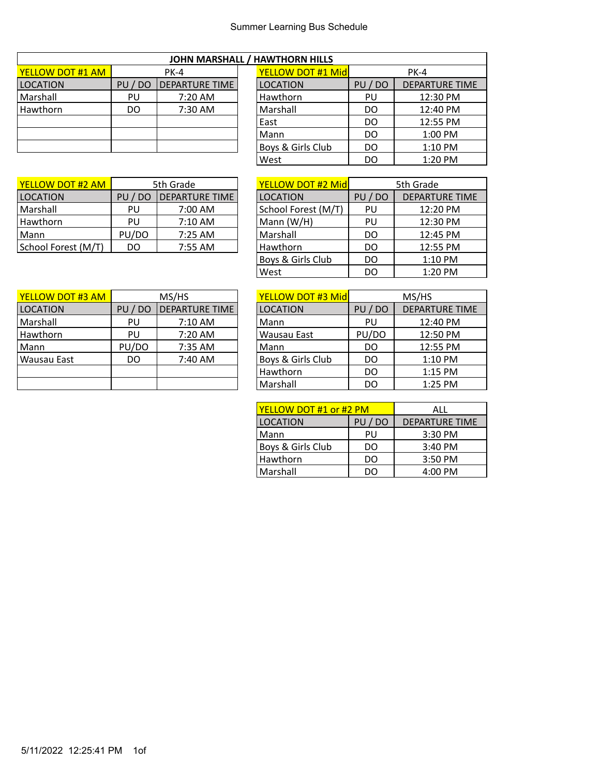|  |  | JOHN MARSHALL / HAWTHORN HILLS |
|--|--|--------------------------------|
|--|--|--------------------------------|

| <b>YELLOW DOT #1 AM</b> |         | PK-4                  | <b>YELLOW DOT #1 Mid</b> |         | PK-4                |
|-------------------------|---------|-----------------------|--------------------------|---------|---------------------|
| <b>LOCATION</b>         | PU / DO | <b>DEPARTURE TIME</b> | <b>LOCATION</b>          | PU / DO | <b>DEPARTURE TI</b> |
| l Marshall              | PU      | 7:20 AM               | Hawthorn                 | PU      | 12:30 PM            |
| l Hawthorn              | DO      | 7:30 AM               | Marshall                 | DO      | 12:40 PM            |
|                         |         |                       | East                     | DO      | 12:55 PM            |
|                         |         |                       | Mann                     | DO      | $1:00$ PM           |
|                         |         |                       | Boys & Girls Club        | DO      | $1:10$ PM           |

 $\mathsf I$ 

| <b>YELLOW DOT #2 AM</b> | 5th Grade  |                        | <b>YELLOW DOT #2 Midl</b> |         | 5th Grade           |
|-------------------------|------------|------------------------|---------------------------|---------|---------------------|
| <b>LOCATION</b>         | PU /<br>DC | <b>IDEPARTURE TIME</b> | <b>LOCATION</b>           | PU / DO | <b>DEPARTURE TI</b> |
| l Marshall              | PU         | 7:00 AM                | School Forest (M/T)       | PU      | 12:20 PM            |
| l Hawthorn              | PU         | 7:10 AM                | Mann (W/H)                | PU      | 12:30 PM            |
| Mann                    | PU/DO      | 7:25 AM                | Marshall                  | DO      | 12:45 PM            |
| School Forest (M/T)     | DO         | 7:55 AM                | Hawthorn                  | DO      | 12:55 PM            |

| <b>YELLOW DOT #1 AM</b> | <b>PK-4</b> |                       |  | <b>YELLOW DOT #1 Mid</b> |       | PK-4                  |
|-------------------------|-------------|-----------------------|--|--------------------------|-------|-----------------------|
| <b>LOCATION</b>         | PU / DO     | <b>DEPARTURE TIME</b> |  | <b>LOCATION</b>          | PU/DO | <b>DEPARTURE TIME</b> |
| Marshall                | PU          | 7:20 AM               |  | Hawthorn                 | PU    | 12:30 PM              |
| Hawthorn                | DO          | 7:30 AM               |  | Marshall                 | DO    | 12:40 PM              |
|                         |             |                       |  | East                     | DO    | 12:55 PM              |
|                         |             |                       |  | Mann                     | DO    | $1:00$ PM             |
|                         |             |                       |  | Boys & Girls Club        | DO    | $1:10$ PM             |
|                         |             |                       |  | West                     | DO    | 1:20 PM               |

| YELLOW DOT #2 AM    | 5th Grade            |                       | <b>YELLOW DOT #2 Midl</b> |              | 5th Grade             |  |
|---------------------|----------------------|-----------------------|---------------------------|--------------|-----------------------|--|
| <b>LOCATION</b>     | PU<br>D <sub>O</sub> | <b>DEPARTURE TIME</b> | <b>LOCATION</b>           | $/$ DO<br>PU | <b>DEPARTURE TIME</b> |  |
| Marshall            | PU                   | 7:00 AM               | School Forest (M/T)       | PU           | 12:20 PM              |  |
| Hawthorn            | PU                   | 7:10 AM               | Mann $(W/H)$              | PU           | 12:30 PM              |  |
| Mann                | PU/DO                | 7:25 AM               | Marshall                  | DO           | 12:45 PM              |  |
| School Forest (M/T) | DO.                  | 7:55 AM               | Hawthorn                  | DO           | 12:55 PM              |  |
|                     |                      |                       | Boys & Girls Club         | DO           | 1:10 PM               |  |
|                     |                      |                       | West                      | DO           | 1:20 PM               |  |
|                     |                      |                       |                           |              |                       |  |

| <b>YELLOW DOT #3 AM</b> | MS/HS    |                       | YELLOW DOT #3 Mid | MS/HS   |                       |  |
|-------------------------|----------|-----------------------|-------------------|---------|-----------------------|--|
| <b>LOCATION</b>         | DO<br>PU | <b>DEPARTURE TIME</b> | <b>LOCATION</b>   | PU / DO | <b>DEPARTURE TIME</b> |  |
| Marshall                | PU       | $7:10$ AM             | Mann              | PU      | 12:40 PM              |  |
| Hawthorn                | PU       | 7:20 AM               | Wausau East       | PU/DO   | 12:50 PM              |  |
| Mann                    | PU/DO    | 7:35 AM               | Mann              | DO      | 12:55 PM              |  |
| Wausau East             | DO       | 7:40 AM               | Boys & Girls Club | DO      | $1:10$ PM             |  |
|                         |          |                       | Hawthorn          | DO      | $1:15$ PM             |  |
|                         |          |                       | Marshall          | DΟ      | $1:25$ PM             |  |

| <b>YELLOW DOT #3 Mid</b> | MS/HS   |                       |  |  |  |
|--------------------------|---------|-----------------------|--|--|--|
| <b>LOCATION</b>          | PU / DO | <b>DEPARTURE TIME</b> |  |  |  |
| Mann                     | PU      | 12:40 PM              |  |  |  |
| Wausau East              | PU/DO   | 12:50 PM              |  |  |  |
| Mann                     | DO      | 12:55 PM              |  |  |  |
| Boys & Girls Club        | DO      | 1:10 PM               |  |  |  |
| Hawthorn                 | DO      | 1:15 PM               |  |  |  |
| Marshall                 | DO      | 1:25 PM               |  |  |  |

| <u> YELLOW DOT #1 or #2 PM</u> | ALL   |                       |
|--------------------------------|-------|-----------------------|
| <b>LOCATION</b>                | PU/DO | <b>DEPARTURE TIME</b> |
| Mann                           | PU    | 3:30 PM               |
| Boys & Girls Club              | DO    | 3:40 PM               |
| Hawthorn                       | DO    | 3:50 PM               |
| Marshall                       | חח    | 4:00 PM               |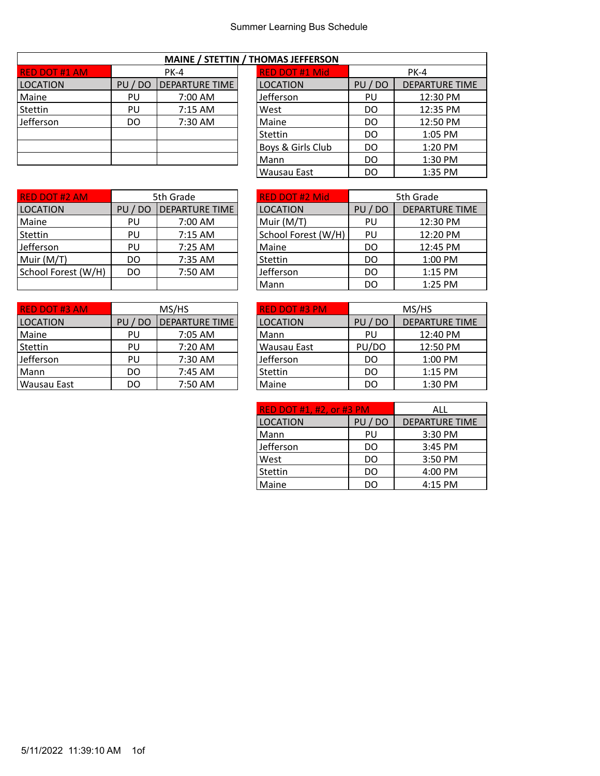| <b>MAINE / STETTIN / THOMAS JEFFERSON</b> |         |                       |  |                       |       |                       |  |  |
|-------------------------------------------|---------|-----------------------|--|-----------------------|-------|-----------------------|--|--|
| <b>RED DOT #1 AM</b>                      |         | $PK-4$                |  | <b>RED DOT #1 Mid</b> |       | $PK-4$                |  |  |
| <b>LOCATION</b>                           | PU / DO | <b>DEPARTURE TIME</b> |  | <b>LOCATION</b>       | PU/DO | <b>DEPARTURE TIME</b> |  |  |
| Maine                                     | PU      | 7:00 AM               |  | <b>Jefferson</b>      | PU    | 12:30 PM              |  |  |
| Stettin                                   | PU      | $7:15$ AM             |  | West                  | DO    | 12:35 PM              |  |  |
| Jefferson                                 | DO      | 7:30 AM               |  | Maine                 | DO    | 12:50 PM              |  |  |
|                                           |         |                       |  | Stettin               | DO    | 1:05 PM               |  |  |
|                                           |         |                       |  | Boys & Girls Club     | DO    | 1:20 PM               |  |  |
|                                           |         |                       |  | Mann                  | DO    | 1:30 PM               |  |  |
|                                           |         |                       |  |                       |       |                       |  |  |

| THOMAS JEFFERSON |                       |  |  |  |  |
|------------------|-----------------------|--|--|--|--|
| PK-4             |                       |  |  |  |  |
| PU / DO          | <b>DEPARTURE TIME</b> |  |  |  |  |
| PU               | 12:30 PM              |  |  |  |  |
| DO               | 12:35 PM              |  |  |  |  |
| DO               | 12:50 PM              |  |  |  |  |
| DO               | 1:05 PM               |  |  |  |  |
| DO               | 1:20 PM               |  |  |  |  |
| DO               | 1:30 PM               |  |  |  |  |
| DO               | 1:35 PM               |  |  |  |  |
|                  |                       |  |  |  |  |

٦

| <b>RED DOT #2 AM</b> |                      | 5th Grade             | <b>RED DOT #2 Mid</b> |              | 5th Grade           |
|----------------------|----------------------|-----------------------|-----------------------|--------------|---------------------|
| <b>LOCATION</b>      | D <sub>O</sub><br>PU | <b>DEPARTURE TIME</b> | <b>LOCATION</b>       | $/$ DO<br>PU | <b>DEPARTURE TI</b> |
| Maine                | PU                   | 7:00 AM               | Muir (M/T)            | PU           | 12:30 PM            |
| Stettin              | PU                   | $7:15$ AM             | School Forest (W/H)   | PU           | 12:20 PM            |
| Jefferson            | PU                   | 7:25 AM               | Maine                 | DO           | 12:45 PM            |
| Muir (M/T)           | DO                   | 7:35 AM               | Stettin               | DO           | 1:00 PM             |
| School Forest (W/H)  | DO                   | 7:50 AM               | Jefferson             | DO           | 1:15 PM             |
|                      |                      |                       | Mann                  | DO           | $1:25$ PM           |

| <b>RED DOT #2 AM</b>                                      | 5th Grade |                       | <b>RED DOT #2 Mid</b> |       | 5th Grade             |
|-----------------------------------------------------------|-----------|-----------------------|-----------------------|-------|-----------------------|
| LOCATION                                                  | PU / DO   | <b>DEPARTURE TIME</b> | <b>LOCATION</b>       | PU/DO | <b>DEPARTURE TIME</b> |
| Maine                                                     | PU        | 7:00 AM               | Muir (M/T)            | PU    | 12:30 PM              |
|                                                           | PU        | 7:15 AM               | School Forest (W/H)   | PU    | 12:20 PM              |
|                                                           | PU        | 7:25 AM               | Maine                 | DO    | 12:45 PM              |
|                                                           | DO.       | 7:35 AM               | Stettin               | DO    | 1:00 PM               |
|                                                           | DO        | 7:50 AM               | Jefferson             | DO    | $1:15$ PM             |
|                                                           |           |                       | Mann                  | DO    | 1:25 PM               |
| Stettin<br>Jefferson<br>Muir (M/T)<br>School Forest (W/H) |           |                       |                       |       |                       |

| <b>RED DOT #3 AM</b> | MS/HS   |                       | <b>RED DOT #3 PM</b> | MS/HS   |                       |  |
|----------------------|---------|-----------------------|----------------------|---------|-----------------------|--|
| <b>LOCATION</b>      | PU / DO | <b>DEPARTURE TIME</b> | <b>LOCATION</b>      | PU / DO | <b>DEPARTURE TIME</b> |  |
| Maine                | PU      | 7:05 AM               | Mann                 | PU      | 12:40 PM              |  |
| Stettin              | PU      | 7:20 AM               | Wausau East          | PU/DO   | 12:50 PM              |  |
| Jefferson            | PU      | 7:30 AM               | Jefferson            | DO      | 1:00 PM               |  |
| Mann                 | DO      | 7:45 AM               | Stettin              | DO      | $1:15$ PM             |  |
| Wausau East          | DO      | 7:50 AM               | Maine                | DO      | $1:30$ PM             |  |

| <b>RED DOT #3 PM</b> | MS/HS   |                       |  |  |
|----------------------|---------|-----------------------|--|--|
| <b>LOCATION</b>      | PU / DO | <b>DEPARTURE TIME</b> |  |  |
| Mann                 | PU      | 12:40 PM              |  |  |
| Wausau East          | PU/DO   | 12:50 PM              |  |  |
| Jefferson            | DO      | 1:00 PM               |  |  |
| Stettin              | DO      | 1:15 PM               |  |  |
| Maine                | DO      | 1:30 PM               |  |  |

| <b>RED DOT #1, #2, or #3 PM</b> | ALL     |                       |
|---------------------------------|---------|-----------------------|
| <b>LOCATION</b>                 | PU / DO | <b>DEPARTURE TIME</b> |
| Mann                            | PU      | 3:30 PM               |
| Jefferson                       | DO      | 3:45 PM               |
| West                            | DO      | 3:50 PM               |
| Stettin                         | DO      | 4:00 PM               |
| Maine                           | DΟ      | 4:15 PM               |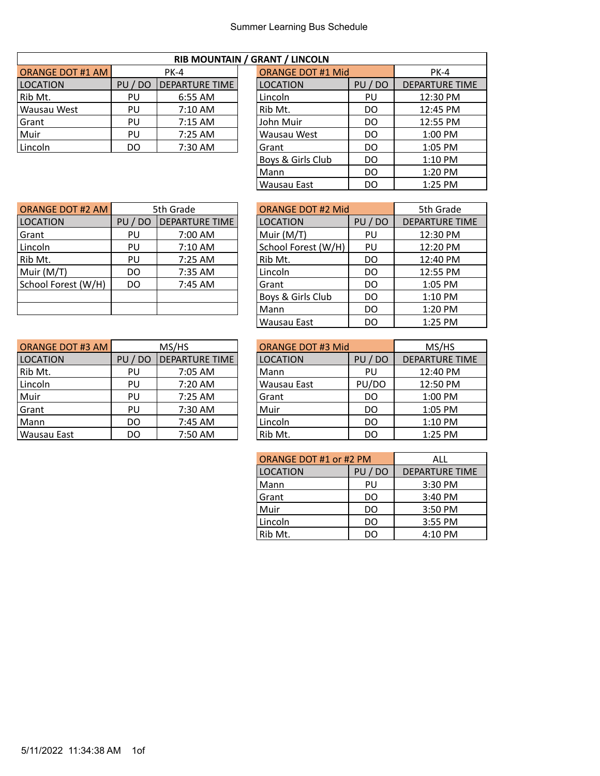| RIB MOUNTAIN / GRANT / LINCOLN |         |                       |  |                          |         |                     |  |  |
|--------------------------------|---------|-----------------------|--|--------------------------|---------|---------------------|--|--|
| <b>ORANGE DOT #1 AM</b>        | PK-4    |                       |  | <b>ORANGE DOT #1 Mid</b> |         | $PK-4$              |  |  |
| <b>LOCATION</b>                | PU / DO | <b>DEPARTURE TIME</b> |  | <b>LOCATION</b>          | PU / DO | <b>DEPARTURE TI</b> |  |  |
| Rib Mt.                        | PU      | 6:55 AM               |  | Lincoln                  | PU      | $12:30 \text{ PM}$  |  |  |
| Wausau West                    | PU      | 7:10 AM               |  | Rib Mt.                  | DO      | 12:45 PM            |  |  |
| Grant                          | PU      | 7:15 AM               |  | John Muir                | DO      | 12:55 PM            |  |  |
| Muir                           | PU      | $7:25$ AM             |  | Wausau West              | DO      | 1:00 PM             |  |  |
| Lincoln                        | DO      | 7:30 AM               |  | Grant                    | DO      | $1:05$ PM           |  |  |

| <b>RIB MOUNTAIN / GRANT / LINCOLN</b> |         |                       |  |                          |         |                       |  |  |  |  |  |
|---------------------------------------|---------|-----------------------|--|--------------------------|---------|-----------------------|--|--|--|--|--|
| ORANGE DOT #1 AM                      |         | <b>PK-4</b>           |  | <b>ORANGE DOT #1 Mid</b> |         | <b>PK-4</b>           |  |  |  |  |  |
| LOCATION                              | PU / DO | <b>DEPARTURE TIME</b> |  | <b>LOCATION</b>          | PU / DO | <b>DEPARTURE TIME</b> |  |  |  |  |  |
| Rib Mt.                               | PU      | 6:55 AM               |  | Lincoln                  | PU      | 12:30 PM              |  |  |  |  |  |
| Wausau West                           | PU      | $7:10$ AM             |  | Rib Mt.                  | DO.     | 12:45 PM              |  |  |  |  |  |
| Grant                                 | PU      | $7:15$ AM             |  | John Muir                | DO.     | 12:55 PM              |  |  |  |  |  |
| Muir                                  | PU      | $7:25$ AM             |  | Wausau West              | DO.     | 1:00 PM               |  |  |  |  |  |
| Lincoln                               | DO      | 7:30 AM               |  | Grant                    | DO      | 1:05 PM               |  |  |  |  |  |
|                                       |         |                       |  | Boys & Girls Club        | DO.     | $1:10$ PM             |  |  |  |  |  |
|                                       |         |                       |  | Mann                     | DO.     | 1:20 PM               |  |  |  |  |  |
|                                       |         |                       |  | Wausau East              | DO      | $1:25$ PM             |  |  |  |  |  |
|                                       |         |                       |  |                          |         |                       |  |  |  |  |  |

DEPARTURE TIME

| <b>ORANGE DOT #2 AM</b> |         | 5th Grade             |  | <b>ORANGE DOT #2 Mid</b> |         | 5th Grade           |
|-------------------------|---------|-----------------------|--|--------------------------|---------|---------------------|
| <b>LOCATION</b>         | PU / DO | <b>DEPARTURE TIME</b> |  | <b>LOCATION</b>          | PU / DO | <b>DEPARTURE TI</b> |
| Grant                   | PU      | 7:00 AM               |  | Muir (M/T)               | PU      | 12:30 PM            |
| Lincoln                 | PU      | 7:10 AM               |  | School Forest (W/H)      | PU      | 12:20 PM            |
| Rib Mt.                 | PU      | 7:25 AM               |  | Rib Mt.                  | DO      | 12:40 PM            |
| Muir (M/T)              | DO      | 7:35 AM               |  | Lincoln                  | DO      | 12:55 PM            |
| School Forest (W/H)     | DO      | 7:45 AM               |  | Grant                    | DO      | 1:05 PM             |
|                         |         |                       |  | Boys & Girls Club        | DO      | 1:10 PM             |
|                         |         |                       |  | Mann                     | DO      | $1:20$ PM           |

| Muir (M/T)              | DO      | 7:35 AM               | Lincoln                  | DO    | 12:55 PM              |
|-------------------------|---------|-----------------------|--------------------------|-------|-----------------------|
| School Forest (W/H)     | DO.     | 7:45 AM               | Grant                    | DO.   | $1:05$ PM             |
|                         |         |                       | Boys & Girls Club        | DO    | 1:10 PM               |
|                         |         |                       | Mann                     | DO    | 1:20 PM               |
|                         |         |                       | Wausau East              | DO.   | 1:25 PM               |
|                         |         |                       |                          |       |                       |
| <b>ORANGE DOT #3 AM</b> |         | MS/HS                 | <b>ORANGE DOT #3 Mid</b> |       | MS/HS                 |
| <b>LOCATION</b>         | PU / DO | <b>DEPARTURE TIME</b> | <b>LOCATION</b>          | PU/DO | <b>DEPARTURE TIME</b> |
| Rib Mt.                 | PU      | 7:05 AM               | Mann                     | PU    | 12:40 PM              |
| Lincoln                 | PU      | 7:20 AM               | Wausau East              | PU/DO | 12:50 PM              |

| <b>ORANGE DOT #3 AM</b> | MS/HS       |                       | <b>ORANGE DOT #3 Mid</b> |             | MS/HS                 |
|-------------------------|-------------|-----------------------|--------------------------|-------------|-----------------------|
| <b>LOCATION</b>         | PU/<br>' DO | <b>DEPARTURE TIME</b> | <b>LOCATION</b>          | PU/<br>' DO | <b>DEPARTURE TIME</b> |
| Rib Mt.                 | PU          | 7:05 AM               | Mann                     | PU          | 12:40 PM              |
| Lincoln                 | PU          | 7:20 AM               | Wausau East              | PU/DO       | 12:50 PM              |
| Muir                    | PU          | 7:25 AM               | Grant                    | DO          | 1:00 PM               |
| Grant                   | PU          | 7:30 AM               | Muir                     | DO          | 1:05 PM               |
| Mann                    | DO          | 7:45 AM               | Lincoln                  | DO          | $1:10$ PM             |
| Wausau East             | DO          | 7:50 AM               | Rib Mt.                  | DO          | $1:25$ PM             |

| ORANGE DOT #1 or #2 PM | ALL     |                       |
|------------------------|---------|-----------------------|
| <b>LOCATION</b>        | PU / DO | <b>DEPARTURE TIME</b> |
| Mann                   | PU      | 3:30 PM               |
| Grant                  | DO      | 3:40 PM               |
| Muir                   | DO      | 3:50 PM               |
| Lincoln                | DO      | 3:55 PM               |
| Rib Mt.                | DΩ      | 4:10 PM               |

| ORANGE DOT #3 AM I |         | MS/HS                 | ORANGE DOT #3 Mid |         | MS/HS               |
|--------------------|---------|-----------------------|-------------------|---------|---------------------|
| <b>LOCATION</b>    | PU / DO | <b>DEPARTURE TIME</b> | <b>LOCATION</b>   | PU / DO | <b>DEPARTURE TI</b> |
| Rib Mt.            | PU      | 7:05 AM               | Mann              | PU      | 12:40 PM            |
| Lincoln            | PU      | 7:20 AM               | Wausau East       | PU/DO   | 12:50 PM            |
| Muir               | PU      | $7:25$ AM             | Grant             | DO      | 1:00 PM             |
| Grant              | PU      | 7:30 AM               | Muir              | DO      | 1:05 PM             |
| Mann               | DO      | 7:45 AM               | Lincoln           | DO      | $1:10$ PM           |
| Wausau East        | DO      | 7:50 AM               | Rib Mt.           | DO      | 1:25 PM             |